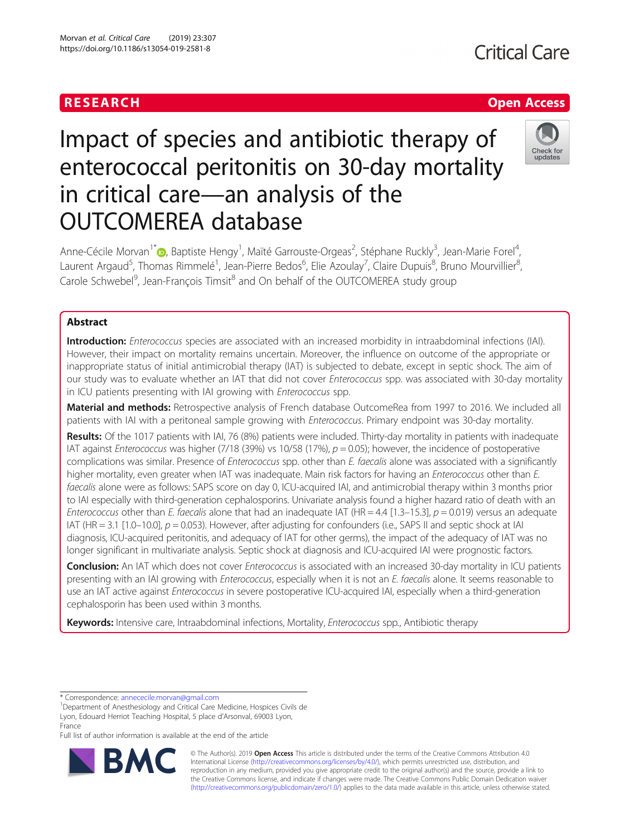## RESEARCH **RESEARCH CHOOSE INTERNATIONAL CONTRACT CONTRACT OF ACCESS**

Check for undates

# Impact of species and antibiotic therapy of enterococcal peritonitis on 30-day mortality in critical care—an analysis of the OUTCOMEREA database

Anne-Cécile Morvan<sup>1[\\*](http://orcid.org/0000-0003-3945-5515)</sup> (**p**, Baptiste Hengy<sup>1</sup>, Maïté Garrouste-Orgeas<sup>2</sup>, Stéphane Ruckly<sup>3</sup>, Jean-Marie Forel<sup>4</sup> , Laurent Argaud<sup>5</sup>, Thomas Rimmelé<sup>1</sup>, Jean-Pierre Bedos<sup>6</sup>, Elie Azoulay<sup>7</sup>, Claire Dupuis<sup>8</sup>, Bruno Mourvillier<sup>8</sup> , Carole Schwebel<sup>9</sup>, Jean-François Timsit<sup>8</sup> and On behalf of the OUTCOMEREA study group

## Abstract

Introduction: Enterococcus species are associated with an increased morbidity in intraabdominal infections (IAI). However, their impact on mortality remains uncertain. Moreover, the influence on outcome of the appropriate or inappropriate status of initial antimicrobial therapy (IAT) is subjected to debate, except in septic shock. The aim of our study was to evaluate whether an IAT that did not cover Enterococcus spp. was associated with 30-day mortality in ICU patients presenting with IAI growing with Enterococcus spp.

Material and methods: Retrospective analysis of French database OutcomeRea from 1997 to 2016. We included all patients with IAI with a peritoneal sample growing with *Enterococcus*. Primary endpoint was 30-day mortality.

Results: Of the 1017 patients with IAI, 76 (8%) patients were included. Thirty-day mortality in patients with inadequate IAT against Enterococcus was higher (7/18 (39%) vs 10/58 (17%),  $p = 0.05$ ; however, the incidence of postoperative complications was similar. Presence of Enterococcus spp. other than E. faecalis alone was associated with a significantly higher mortality, even greater when IAT was inadequate. Main risk factors for having an *Enterococcus* other than E. faecalis alone were as follows: SAPS score on day 0, ICU-acquired IAI, and antimicrobial therapy within 3 months prior to IAI especially with third-generation cephalosporins. Univariate analysis found a higher hazard ratio of death with an Enterococcus other than E. faecalis alone that had an inadequate IAT (HR = 4.4 [1.3–15.3],  $p = 0.019$ ) versus an adequate IAT (HR = 3.1 [1.0–10.0],  $p = 0.053$ ). However, after adjusting for confounders (i.e., SAPS II and septic shock at IAI diagnosis, ICU-acquired peritonitis, and adequacy of IAT for other germs), the impact of the adequacy of IAT was no longer significant in multivariate analysis. Septic shock at diagnosis and ICU-acquired IAI were prognostic factors.

Conclusion: An IAT which does not cover Enterococcus is associated with an increased 30-day mortality in ICU patients presenting with an IAI growing with *Enterococcus*, especially when it is not an *E. faecalis* alone. It seems reasonable to use an IAT active against Enterococcus in severe postoperative ICU-acquired IAI, especially when a third-generation cephalosporin has been used within 3 months.

Keywords: Intensive care, Intraabdominal infections, Mortality, Enterococcus spp., Antibiotic therapy

Full list of author information is available at the end of the article



© The Author(s). 2019 **Open Access** This article is distributed under the terms of the Creative Commons Attribution 4.0 International License [\(http://creativecommons.org/licenses/by/4.0/](http://creativecommons.org/licenses/by/4.0/)), which permits unrestricted use, distribution, and reproduction in any medium, provided you give appropriate credit to the original author(s) and the source, provide a link to the Creative Commons license, and indicate if changes were made. The Creative Commons Public Domain Dedication waiver [\(http://creativecommons.org/publicdomain/zero/1.0/](http://creativecommons.org/publicdomain/zero/1.0/)) applies to the data made available in this article, unless otherwise stated.

<sup>\*</sup> Correspondence: [annececile.morvan@gmail.com](mailto:annececile.morvan@gmail.com) <sup>1</sup>

<sup>&</sup>lt;sup>1</sup>Department of Anesthesiology and Critical Care Medicine, Hospices Civils de Lyon, Edouard Herriot Teaching Hospital, 5 place d'Arsonval, 69003 Lyon, France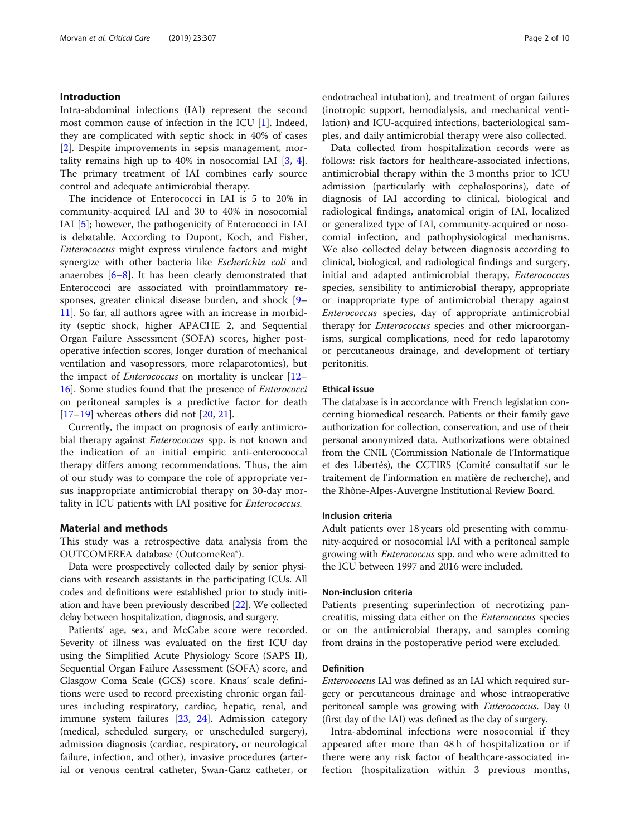#### Introduction

Intra-abdominal infections (IAI) represent the second most common cause of infection in the ICU [[1\]](#page-8-0). Indeed, they are complicated with septic shock in 40% of cases [[2\]](#page-8-0). Despite improvements in sepsis management, mortality remains high up to 40% in nosocomial IAI [\[3](#page-8-0), [4](#page-8-0)]. The primary treatment of IAI combines early source control and adequate antimicrobial therapy.

The incidence of Enterococci in IAI is 5 to 20% in community-acquired IAI and 30 to 40% in nosocomial IAI [[5](#page-8-0)]; however, the pathogenicity of Enterococci in IAI is debatable. According to Dupont, Koch, and Fisher, Enterococcus might express virulence factors and might synergize with other bacteria like Escherichia coli and anaerobes  $[6-8]$  $[6-8]$  $[6-8]$ . It has been clearly demonstrated that Enteroccoci are associated with proinflammatory responses, greater clinical disease burden, and shock [[9](#page-8-0)– [11\]](#page-8-0). So far, all authors agree with an increase in morbidity (septic shock, higher APACHE 2, and Sequential Organ Failure Assessment (SOFA) scores, higher postoperative infection scores, longer duration of mechanical ventilation and vasopressors, more relaparotomies), but the impact of Enterococcus on mortality is unclear [[12](#page-8-0)– [16\]](#page-8-0). Some studies found that the presence of Enterococci on peritoneal samples is a predictive factor for death  $[17–19]$  $[17–19]$  $[17–19]$  $[17–19]$  $[17–19]$  whereas others did not  $[20, 21]$  $[20, 21]$  $[20, 21]$  $[20, 21]$ .

Currently, the impact on prognosis of early antimicrobial therapy against *Enterococcus* spp. is not known and the indication of an initial empiric anti-enterococcal therapy differs among recommendations. Thus, the aim of our study was to compare the role of appropriate versus inappropriate antimicrobial therapy on 30-day mortality in ICU patients with IAI positive for Enterococcus.

#### Material and methods

This study was a retrospective data analysis from the OUTCOMEREA database (OutcomeRea®).

Data were prospectively collected daily by senior physicians with research assistants in the participating ICUs. All codes and definitions were established prior to study initiation and have been previously described [\[22\]](#page-8-0). We collected delay between hospitalization, diagnosis, and surgery.

Patients' age, sex, and McCabe score were recorded. Severity of illness was evaluated on the first ICU day using the Simplified Acute Physiology Score (SAPS II), Sequential Organ Failure Assessment (SOFA) score, and Glasgow Coma Scale (GCS) score. Knaus' scale definitions were used to record preexisting chronic organ failures including respiratory, cardiac, hepatic, renal, and immune system failures [\[23](#page-8-0), [24\]](#page-8-0). Admission category (medical, scheduled surgery, or unscheduled surgery), admission diagnosis (cardiac, respiratory, or neurological failure, infection, and other), invasive procedures (arterial or venous central catheter, Swan-Ganz catheter, or endotracheal intubation), and treatment of organ failures (inotropic support, hemodialysis, and mechanical ventilation) and ICU-acquired infections, bacteriological samples, and daily antimicrobial therapy were also collected.

Data collected from hospitalization records were as follows: risk factors for healthcare-associated infections, antimicrobial therapy within the 3 months prior to ICU admission (particularly with cephalosporins), date of diagnosis of IAI according to clinical, biological and radiological findings, anatomical origin of IAI, localized or generalized type of IAI, community-acquired or nosocomial infection, and pathophysiological mechanisms. We also collected delay between diagnosis according to clinical, biological, and radiological findings and surgery, initial and adapted antimicrobial therapy, Enterococcus species, sensibility to antimicrobial therapy, appropriate or inappropriate type of antimicrobial therapy against Enterococcus species, day of appropriate antimicrobial therapy for *Enterococcus* species and other microorganisms, surgical complications, need for redo laparotomy or percutaneous drainage, and development of tertiary peritonitis.

#### Ethical issue

The database is in accordance with French legislation concerning biomedical research. Patients or their family gave authorization for collection, conservation, and use of their personal anonymized data. Authorizations were obtained from the CNIL (Commission Nationale de l'Informatique et des Libertés), the CCTIRS (Comité consultatif sur le traitement de l'information en matière de recherche), and the Rhône-Alpes-Auvergne Institutional Review Board.

#### Inclusion criteria

Adult patients over 18 years old presenting with community-acquired or nosocomial IAI with a peritoneal sample growing with Enterococcus spp. and who were admitted to the ICU between 1997 and 2016 were included.

#### Non-inclusion criteria

Patients presenting superinfection of necrotizing pancreatitis, missing data either on the Enterococcus species or on the antimicrobial therapy, and samples coming from drains in the postoperative period were excluded.

#### Definition

Enterococcus IAI was defined as an IAI which required surgery or percutaneous drainage and whose intraoperative peritoneal sample was growing with *Enterococcus*. Day 0 (first day of the IAI) was defined as the day of surgery.

Intra-abdominal infections were nosocomial if they appeared after more than 48 h of hospitalization or if there were any risk factor of healthcare-associated infection (hospitalization within 3 previous months,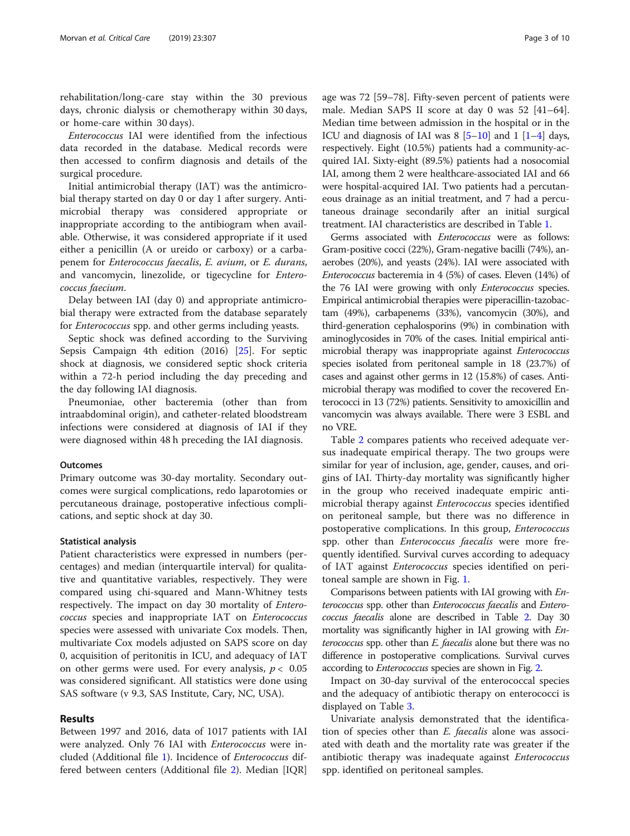rehabilitation/long-care stay within the 30 previous days, chronic dialysis or chemotherapy within 30 days, or home-care within 30 days).

Enterococcus IAI were identified from the infectious data recorded in the database. Medical records were then accessed to confirm diagnosis and details of the surgical procedure.

Initial antimicrobial therapy (IAT) was the antimicrobial therapy started on day 0 or day 1 after surgery. Antimicrobial therapy was considered appropriate or inappropriate according to the antibiogram when available. Otherwise, it was considered appropriate if it used either a penicillin (A or ureido or carboxy) or a carbapenem for Enterococcus faecalis, E. avium, or E. durans, and vancomycin, linezolide, or tigecycline for Enterococcus faecium.

Delay between IAI (day 0) and appropriate antimicrobial therapy were extracted from the database separately for *Enterococcus* spp. and other germs including yeasts.

Septic shock was defined according to the Surviving Sepsis Campaign 4th edition (2016) [\[25](#page-8-0)]. For septic shock at diagnosis, we considered septic shock criteria within a 72-h period including the day preceding and the day following IAI diagnosis.

Pneumoniae, other bacteremia (other than from intraabdominal origin), and catheter-related bloodstream infections were considered at diagnosis of IAI if they were diagnosed within 48 h preceding the IAI diagnosis.

#### **Outcomes**

Primary outcome was 30-day mortality. Secondary outcomes were surgical complications, redo laparotomies or percutaneous drainage, postoperative infectious complications, and septic shock at day 30.

#### Statistical analysis

Patient characteristics were expressed in numbers (percentages) and median (interquartile interval) for qualitative and quantitative variables, respectively. They were compared using chi-squared and Mann-Whitney tests respectively. The impact on day 30 mortality of Enterococcus species and inappropriate IAT on Enterococcus species were assessed with univariate Cox models. Then, multivariate Cox models adjusted on SAPS score on day 0, acquisition of peritonitis in ICU, and adequacy of IAT on other germs were used. For every analysis,  $p < 0.05$ was considered significant. All statistics were done using SAS software (v 9.3, SAS Institute, Cary, NC, USA).

#### Results

Between 1997 and 2016, data of 1017 patients with IAI were analyzed. Only 76 IAI with *Enterococcus* were included (Additional file [1\)](#page-7-0). Incidence of Enterococcus differed between centers (Additional file [2](#page-7-0)). Median [IQR]

age was 72 [59–78]. Fifty-seven percent of patients were male. Median SAPS II score at day 0 was 52 [41–64]. Median time between admission in the hospital or in the ICU and diagnosis of IAI was  $8 \left[ 5 - 10 \right]$  $8 \left[ 5 - 10 \right]$  $8 \left[ 5 - 10 \right]$  and  $1 \left[ 1 - 4 \right]$  days, respectively. Eight (10.5%) patients had a community-acquired IAI. Sixty-eight (89.5%) patients had a nosocomial IAI, among them 2 were healthcare-associated IAI and 66 were hospital-acquired IAI. Two patients had a percutaneous drainage as an initial treatment, and 7 had a percutaneous drainage secondarily after an initial surgical treatment. IAI characteristics are described in Table [1.](#page-3-0)

Germs associated with Enterococcus were as follows: Gram-positive cocci (22%), Gram-negative bacilli (74%), anaerobes (20%), and yeasts (24%). IAI were associated with Enterococcus bacteremia in 4 (5%) of cases. Eleven (14%) of the 76 IAI were growing with only Enterococcus species. Empirical antimicrobial therapies were piperacillin-tazobactam (49%), carbapenems (33%), vancomycin (30%), and third-generation cephalosporins (9%) in combination with aminoglycosides in 70% of the cases. Initial empirical antimicrobial therapy was inappropriate against Enterococcus species isolated from peritoneal sample in 18 (23.7%) of cases and against other germs in 12 (15.8%) of cases. Antimicrobial therapy was modified to cover the recovered Enterococci in 13 (72%) patients. Sensitivity to amoxicillin and vancomycin was always available. There were 3 ESBL and no VRE.

Table [2](#page-4-0) compares patients who received adequate versus inadequate empirical therapy. The two groups were similar for year of inclusion, age, gender, causes, and origins of IAI. Thirty-day mortality was significantly higher in the group who received inadequate empiric antimicrobial therapy against *Enterococcus* species identified on peritoneal sample, but there was no difference in postoperative complications. In this group, Enterococcus spp. other than *Enterococcus faecalis* were more frequently identified. Survival curves according to adequacy of IAT against Enterococcus species identified on peritoneal sample are shown in Fig. [1](#page-5-0).

Comparisons between patients with IAI growing with Enterococcus spp. other than Enterococcus faecalis and Enterococcus faecalis alone are described in Table [2](#page-4-0). Day 30 mortality was significantly higher in IAI growing with Enterococcus spp. other than *E. faecalis* alone but there was no difference in postoperative complications. Survival curves according to Enterococcus species are shown in Fig. [2.](#page-5-0)

Impact on 30-day survival of the enterococcal species and the adequacy of antibiotic therapy on enterococci is displayed on Table [3.](#page-6-0)

Univariate analysis demonstrated that the identification of species other than E. faecalis alone was associated with death and the mortality rate was greater if the antibiotic therapy was inadequate against *Enterococcus* spp. identified on peritoneal samples.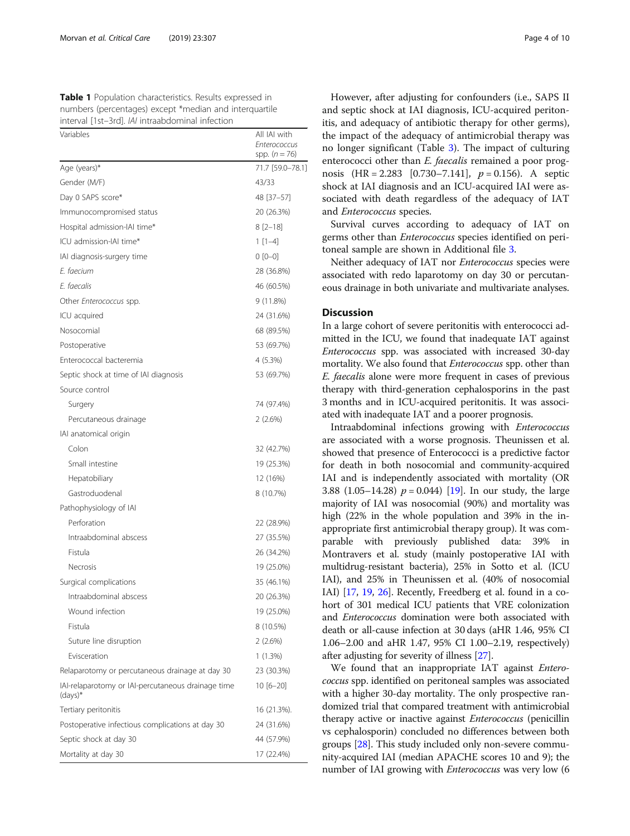<span id="page-3-0"></span>Table 1 Population characteristics. Results expressed in numbers (percentages) except \*median and interquartile interval [1st–3rd]. IAI intraabdominal infection

| Variables                                                       | All IAI with<br>Enterococcus<br>spp. $(n = 76)$ |
|-----------------------------------------------------------------|-------------------------------------------------|
| Age (years)*                                                    | 71.7 [59.0-78.1]                                |
| Gender (M/F)                                                    | 43/33                                           |
| Day 0 SAPS score*                                               | 48 [37–57]                                      |
| Immunocompromised status                                        | 20 (26.3%)                                      |
| Hospital admission-IAI time*                                    | $8[2-18]$                                       |
| ICU admission-IAI time*                                         | $1[1-4]$                                        |
| IAI diagnosis-surgery time                                      | $0 [0 - 0]$                                     |
| E. faecium                                                      | 28 (36.8%)                                      |
| E. faecalis                                                     | 46 (60.5%)                                      |
| Other Enterococcus spp.                                         | 9 (11.8%)                                       |
| ICU acquired                                                    | 24 (31.6%)                                      |
| Nosocomial                                                      | 68 (89.5%)                                      |
| Postoperative                                                   | 53 (69.7%)                                      |
| Enterococcal bacteremia                                         | 4 (5.3%)                                        |
| Septic shock at time of IAI diagnosis                           | 53 (69.7%)                                      |
| Source control                                                  |                                                 |
| Surgery                                                         | 74 (97.4%)                                      |
| Percutaneous drainage                                           | 2(2.6%)                                         |
| IAI anatomical origin                                           |                                                 |
| Colon                                                           | 32 (42.7%)                                      |
| Small intestine                                                 | 19 (25.3%)                                      |
| Hepatobiliary                                                   | 12 (16%)                                        |
| Gastroduodenal                                                  | 8 (10.7%)                                       |
| Pathophysiology of IAI                                          |                                                 |
| Perforation                                                     | 22 (28.9%)                                      |
| Intraabdominal abscess                                          | 27 (35.5%)                                      |
| Fistula                                                         | 26 (34.2%)                                      |
| <b>Necrosis</b>                                                 | 19 (25.0%)                                      |
| Surgical complications                                          | 35 (46.1%)                                      |
| Intraabdominal abscess                                          | 20 (26.3%)                                      |
| Wound infection                                                 | 19 (25.0%)                                      |
| Fistula                                                         | 8 (10.5%)                                       |
| Suture line disruption                                          | 2(2.6%)                                         |
| Evisceration                                                    | 1 (1.3%)                                        |
| Relaparotomy or percutaneous drainage at day 30                 | 23 (30.3%)                                      |
| IAI-relaparotomy or IAI-percutaneous drainage time<br>$(days)*$ | $10 [6 - 20]$                                   |
| Tertiary peritonitis                                            | 16 (21.3%).                                     |
| Postoperative infectious complications at day 30                | 24 (31.6%)                                      |
| Septic shock at day 30                                          | 44 (57.9%)                                      |
| Mortality at day 30                                             | 17 (22.4%)                                      |

However, after adjusting for confounders (i.e., SAPS II and septic shock at IAI diagnosis, ICU-acquired peritonitis, and adequacy of antibiotic therapy for other germs), the impact of the adequacy of antimicrobial therapy was no longer significant (Table [3\)](#page-6-0). The impact of culturing enterococci other than *E. faecalis* remained a poor prognosis  $(HR = 2.283 [0.730 - 7.141], p = 0.156)$ . A septic shock at IAI diagnosis and an ICU-acquired IAI were associated with death regardless of the adequacy of IAT and Enterococcus species.

Survival curves according to adequacy of IAT on germs other than Enterococcus species identified on peritoneal sample are shown in Additional file [3](#page-7-0).

Neither adequacy of IAT nor Enterococcus species were associated with redo laparotomy on day 30 or percutaneous drainage in both univariate and multivariate analyses.

#### **Discussion**

In a large cohort of severe peritonitis with enterococci admitted in the ICU, we found that inadequate IAT against Enterococcus spp. was associated with increased 30-day mortality. We also found that *Enterococcus* spp. other than E. faecalis alone were more frequent in cases of previous therapy with third-generation cephalosporins in the past 3 months and in ICU-acquired peritonitis. It was associated with inadequate IAT and a poorer prognosis.

Intraabdominal infections growing with Enterococcus are associated with a worse prognosis. Theunissen et al. showed that presence of Enterococci is a predictive factor for death in both nosocomial and community-acquired IAI and is independently associated with mortality (OR 3.88 (1.05–14.28)  $p = 0.044$ ) [\[19](#page-8-0)]. In our study, the large majority of IAI was nosocomial (90%) and mortality was high (22% in the whole population and 39% in the inappropriate first antimicrobial therapy group). It was comparable with previously published data: 39% in Montravers et al. study (mainly postoperative IAI with multidrug-resistant bacteria), 25% in Sotto et al. (ICU IAI), and 25% in Theunissen et al. (40% of nosocomial IAI) [\[17,](#page-8-0) [19,](#page-8-0) [26\]](#page-8-0). Recently, Freedberg et al. found in a cohort of 301 medical ICU patients that VRE colonization and Enterococcus domination were both associated with death or all-cause infection at 30 days (aHR 1.46, 95% CI 1.06–2.00 and aHR 1.47, 95% CI 1.00–2.19, respectively) after adjusting for severity of illness [[27](#page-8-0)].

We found that an inappropriate IAT against *Entero*coccus spp. identified on peritoneal samples was associated with a higher 30-day mortality. The only prospective randomized trial that compared treatment with antimicrobial therapy active or inactive against Enterococcus (penicillin vs cephalosporin) concluded no differences between both groups [[28\]](#page-8-0). This study included only non-severe community-acquired IAI (median APACHE scores 10 and 9); the number of IAI growing with *Enterococcus* was very low (6)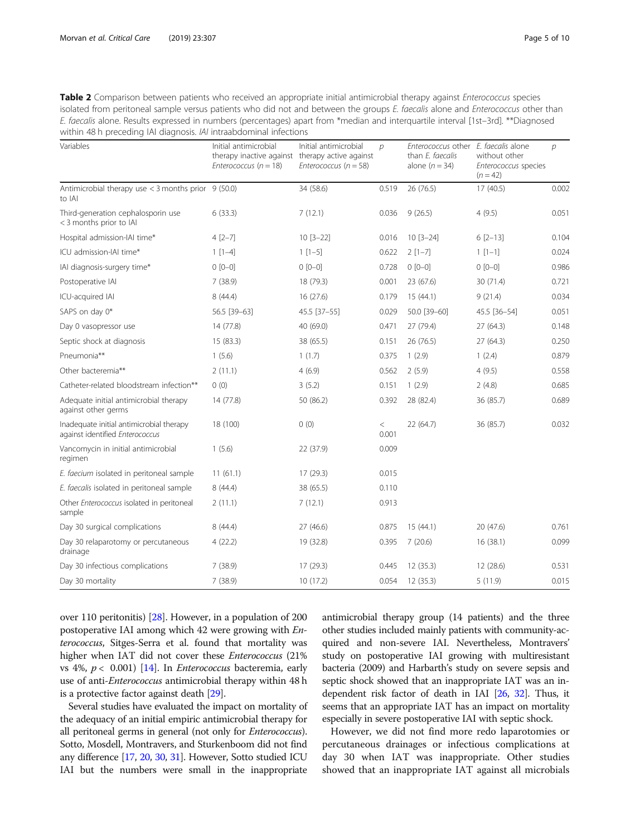<span id="page-4-0"></span>

| Table 2 Comparison between patients who received an appropriate initial antimicrobial therapy against <i>Enterococcus</i> species  |
|------------------------------------------------------------------------------------------------------------------------------------|
| isolated from peritoneal sample versus patients who did not and between the groups E. faecalis alone and Enterococcus other than   |
| E. faecalis alone. Results expressed in numbers (percentages) apart from *median and interquartile interval [1st-3rd]. **Diagnosed |
| within 48 h preceding IAI diagnosis. <i>IAI</i> intraabdominal infections                                                          |

| Variables                                                                   | Initial antimicrobial<br>therapy inactive against therapy active against<br>Enterococcus ( $n = 18$ ) | Initial antimicrobial<br>Enterococcus ( $n = 58$ ) | $\mathcal{D}$  | Enterococcus other<br>than E. faecalis<br>alone $(n = 34)$ | E. faecalis alone<br>without other<br>Enterococcus species<br>$(n = 42)$ | $\mathcal{D}$ |
|-----------------------------------------------------------------------------|-------------------------------------------------------------------------------------------------------|----------------------------------------------------|----------------|------------------------------------------------------------|--------------------------------------------------------------------------|---------------|
| Antimicrobial therapy use $<$ 3 months prior 9 (50.0)<br>to IAI             |                                                                                                       | 34 (58.6)                                          | 0.519          | 26 (76.5)                                                  | 17(40.5)                                                                 | 0.002         |
| Third-generation cephalosporin use<br>< 3 months prior to IAI               | 6(33.3)                                                                                               | 7(12.1)                                            | 0.036          | 9(26.5)                                                    | 4(9.5)                                                                   | 0.051         |
| Hospital admission-IAI time*                                                | $4[2-7]$                                                                                              | $10 [3 - 22]$                                      | 0.016          | $10 [3 - 24]$                                              | $6[2-13]$                                                                | 0.104         |
| ICU admission-IAI time*                                                     | $1 [1-4]$                                                                                             | $1$ [1-5]                                          | 0.622          | $2[1-7]$                                                   | $1$ [1-1]                                                                | 0.024         |
| IAI diagnosis-surgery time*                                                 | $0 [0 - 0]$                                                                                           | $0 [0 - 0]$                                        | 0.728          | $0 [0 - 0]$                                                | $0 [0 - 0]$                                                              | 0.986         |
| Postoperative IAI                                                           | 7(38.9)                                                                                               | 18 (79.3)                                          | 0.001          | 23 (67.6)                                                  | 30 (71.4)                                                                | 0.721         |
| ICU-acquired IAI                                                            | 8(44.4)                                                                                               | 16 (27.6)                                          | 0.179          | 15(44.1)                                                   | 9(21.4)                                                                  | 0.034         |
| SAPS on day 0*                                                              | 56.5 [39-63]                                                                                          | 45.5 [37-55]                                       | 0.029          | 50.0 [39-60]                                               | 45.5 [36-54]                                                             | 0.051         |
| Day 0 vasopressor use                                                       | 14 (77.8)                                                                                             | 40 (69.0)                                          | 0.471          | 27 (79.4)                                                  | 27(64.3)                                                                 | 0.148         |
| Septic shock at diagnosis                                                   | 15 (83.3)                                                                                             | 38 (65.5)                                          | 0.151          | 26 (76.5)                                                  | 27(64.3)                                                                 | 0.250         |
| Pneumonia**                                                                 | 1(5.6)                                                                                                | 1(1.7)                                             | 0.375          | 1(2.9)                                                     | 1(2.4)                                                                   | 0.879         |
| Other bacteremia**                                                          | 2(11.1)                                                                                               | 4(6.9)                                             | 0.562          | 2(5.9)                                                     | 4(9.5)                                                                   | 0.558         |
| Catheter-related bloodstream infection**                                    | 0(0)                                                                                                  | 3(5.2)                                             | 0.151          | 1(2.9)                                                     | 2(4.8)                                                                   | 0.685         |
| Adequate initial antimicrobial therapy<br>against other germs               | 14 (77.8)                                                                                             | 50 (86.2)                                          | 0.392          | 28 (82.4)                                                  | 36 (85.7)                                                                | 0.689         |
| Inadequate initial antimicrobial therapy<br>against identified Enterococcus | 18 (100)                                                                                              | 0(0)                                               | $\,<$<br>0.001 | 22 (64.7)                                                  | 36 (85.7)                                                                | 0.032         |
| Vancomycin in initial antimicrobial<br>regimen                              | 1(5.6)                                                                                                | 22 (37.9)                                          | 0.009          |                                                            |                                                                          |               |
| E. faecium isolated in peritoneal sample                                    | 11(61.1)                                                                                              | 17 (29.3)                                          | 0.015          |                                                            |                                                                          |               |
| E. faecalis isolated in peritoneal sample                                   | 8(44.4)                                                                                               | 38 (65.5)                                          | 0.110          |                                                            |                                                                          |               |
| Other Enterococcus isolated in peritoneal<br>sample                         | 2(11.1)                                                                                               | 7(12.1)                                            | 0.913          |                                                            |                                                                          |               |
| Day 30 surgical complications                                               | 8(44.4)                                                                                               | 27(46.6)                                           | 0.875          | 15(44.1)                                                   | 20 (47.6)                                                                | 0.761         |
| Day 30 relaparotomy or percutaneous<br>drainage                             | 4(22.2)                                                                                               | 19 (32.8)                                          | 0.395          | 7(20.6)                                                    | 16(38.1)                                                                 | 0.099         |
| Day 30 infectious complications                                             | 7(38.9)                                                                                               | 17 (29.3)                                          | 0.445          | 12(35.3)                                                   | 12 (28.6)                                                                | 0.531         |
| Day 30 mortality                                                            | 7(38.9)                                                                                               | 10(17.2)                                           | 0.054          | 12(35.3)                                                   | 5(11.9)                                                                  | 0.015         |

over 110 peritonitis) [[28](#page-8-0)]. However, in a population of 200 postoperative IAI among which 42 were growing with Enterococcus, Sitges-Serra et al. found that mortality was higher when IAT did not cover these Enterococcus (21% vs 4%,  $p < 0.001$ ) [[14](#page-8-0)]. In *Enterococcus* bacteremia, early use of anti-Enterococcus antimicrobial therapy within 48 h is a protective factor against death [[29](#page-8-0)].

Several studies have evaluated the impact on mortality of the adequacy of an initial empiric antimicrobial therapy for all peritoneal germs in general (not only for Enterococcus). Sotto, Mosdell, Montravers, and Sturkenboom did not find any difference [\[17](#page-8-0), [20,](#page-8-0) [30](#page-8-0), [31](#page-8-0)]. However, Sotto studied ICU IAI but the numbers were small in the inappropriate

antimicrobial therapy group (14 patients) and the three other studies included mainly patients with community-acquired and non-severe IAI. Nevertheless, Montravers' study on postoperative IAI growing with multiresistant bacteria (2009) and Harbarth's study on severe sepsis and septic shock showed that an inappropriate IAT was an independent risk factor of death in IAI [\[26,](#page-8-0) [32](#page-8-0)]. Thus, it seems that an appropriate IAT has an impact on mortality especially in severe postoperative IAI with septic shock.

However, we did not find more redo laparotomies or percutaneous drainages or infectious complications at day 30 when IAT was inappropriate. Other studies showed that an inappropriate IAT against all microbials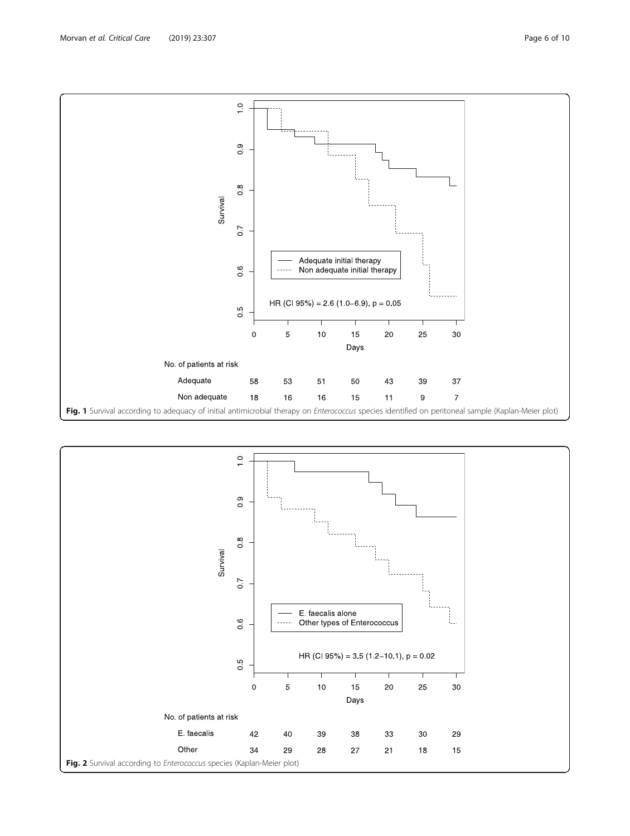<span id="page-5-0"></span>

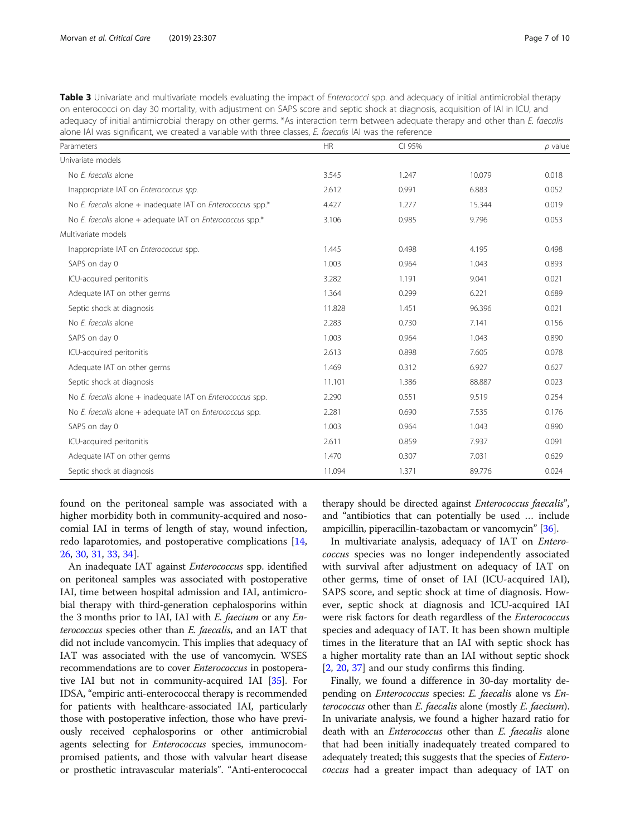<span id="page-6-0"></span>

| Table 3 Univariate and multivariate models evaluating the impact of <i>Enterococci</i> spp. and adequacy of initial antimicrobial therapy |
|-------------------------------------------------------------------------------------------------------------------------------------------|
| on enterococci on day 30 mortality, with adjustment on SAPS score and septic shock at diagnosis, acquisition of IAI in ICU, and           |
| adequacy of initial antimicrobial therapy on other germs. *As interaction term between adequate therapy and other than E. faecalis        |
| alone IAI was significant, we created a variable with three classes, E. faecalis IAI was the reference                                    |

| Parameters                                                    | <b>HR</b> | CI 95% |        | p value |
|---------------------------------------------------------------|-----------|--------|--------|---------|
| Univariate models                                             |           |        |        |         |
| No E. faecalis alone                                          | 3.545     | 1.247  | 10.079 | 0.018   |
| Inappropriate IAT on Enterococcus spp.                        | 2.612     | 0.991  | 6.883  | 0.052   |
| No E. faecalis alone $+$ inadequate IAT on Enterococcus spp.* | 4.427     | 1.277  | 15.344 | 0.019   |
| No E. faecalis alone + adequate IAT on Enterococcus spp.*     | 3.106     | 0.985  | 9.796  | 0.053   |
| Multivariate models                                           |           |        |        |         |
| Inappropriate IAT on Enterococcus spp.                        | 1.445     | 0.498  | 4.195  | 0.498   |
| SAPS on day 0                                                 | 1.003     | 0.964  | 1.043  | 0.893   |
| ICU-acquired peritonitis                                      | 3.282     | 1.191  | 9.041  | 0.021   |
| Adequate IAT on other germs                                   | 1.364     | 0.299  | 6.221  | 0.689   |
| Septic shock at diagnosis                                     | 11.828    | 1.451  | 96.396 | 0.021   |
| No E. faecalis alone                                          | 2.283     | 0.730  | 7.141  | 0.156   |
| SAPS on day 0                                                 | 1.003     | 0.964  | 1.043  | 0.890   |
| ICU-acquired peritonitis                                      | 2.613     | 0.898  | 7.605  | 0.078   |
| Adequate IAT on other germs                                   | 1.469     | 0.312  | 6.927  | 0.627   |
| Septic shock at diagnosis                                     | 11.101    | 1.386  | 88.887 | 0.023   |
| No E. faecalis alone $+$ inadequate IAT on Enterococcus spp.  | 2.290     | 0.551  | 9.519  | 0.254   |
| No E. faecalis alone $+$ adequate IAT on Enterococcus spp.    | 2.281     | 0.690  | 7.535  | 0.176   |
| SAPS on day 0                                                 | 1.003     | 0.964  | 1.043  | 0.890   |
| ICU-acquired peritonitis                                      | 2.611     | 0.859  | 7.937  | 0.091   |
| Adequate IAT on other germs                                   | 1.470     | 0.307  | 7.031  | 0.629   |
| Septic shock at diagnosis                                     | 11.094    | 1.371  | 89.776 | 0.024   |

found on the peritoneal sample was associated with a higher morbidity both in community-acquired and nosocomial IAI in terms of length of stay, wound infection, redo laparotomies, and postoperative complications [[14](#page-8-0), [26,](#page-8-0) [30](#page-8-0), [31](#page-8-0), [33](#page-8-0), [34](#page-8-0)].

An inadequate IAT against Enterococcus spp. identified on peritoneal samples was associated with postoperative IAI, time between hospital admission and IAI, antimicrobial therapy with third-generation cephalosporins within the 3 months prior to IAI, IAI with E. faecium or any Enterococcus species other than E. faecalis, and an IAT that did not include vancomycin. This implies that adequacy of IAT was associated with the use of vancomycin. WSES recommendations are to cover Enterococcus in postoperative IAI but not in community-acquired IAI [[35](#page-9-0)]. For IDSA, "empiric anti-enterococcal therapy is recommended for patients with healthcare-associated IAI, particularly those with postoperative infection, those who have previously received cephalosporins or other antimicrobial agents selecting for Enterococcus species, immunocompromised patients, and those with valvular heart disease or prosthetic intravascular materials". "Anti-enterococcal therapy should be directed against Enterococcus faecalis", and "antibiotics that can potentially be used … include ampicillin, piperacillin-tazobactam or vancomycin" [[36](#page-9-0)].

In multivariate analysis, adequacy of IAT on Enterococcus species was no longer independently associated with survival after adjustment on adequacy of IAT on other germs, time of onset of IAI (ICU-acquired IAI), SAPS score, and septic shock at time of diagnosis. However, septic shock at diagnosis and ICU-acquired IAI were risk factors for death regardless of the Enterococcus species and adequacy of IAT. It has been shown multiple times in the literature that an IAI with septic shock has a higher mortality rate than an IAI without septic shock [[2,](#page-8-0) [20,](#page-8-0) [37\]](#page-9-0) and our study confirms this finding.

Finally, we found a difference in 30-day mortality depending on Enterococcus species: E. faecalis alone vs Enterococcus other than E. faecalis alone (mostly E. faecium). In univariate analysis, we found a higher hazard ratio for death with an *Enterococcus* other than *E. faecalis* alone that had been initially inadequately treated compared to adequately treated; this suggests that the species of Enterococcus had a greater impact than adequacy of IAT on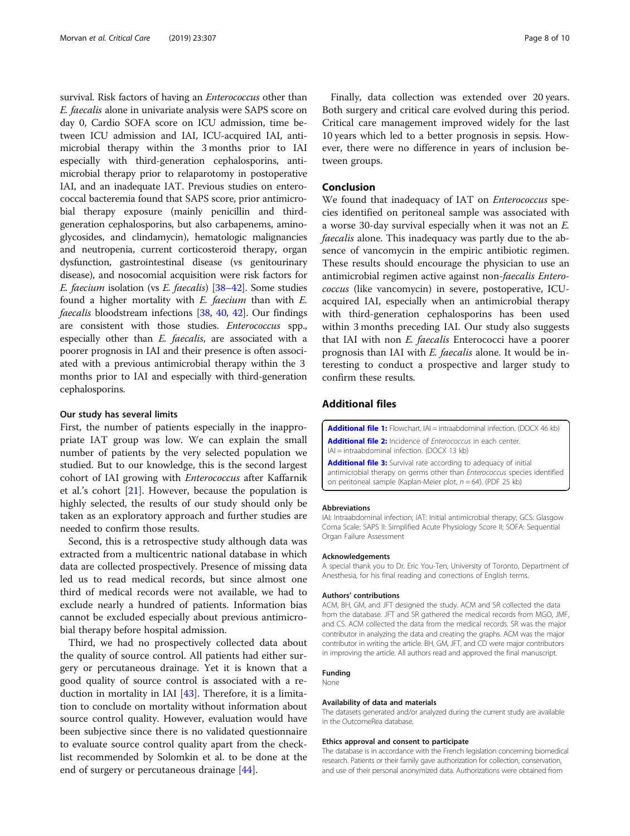<span id="page-7-0"></span>survival. Risk factors of having an *Enterococcus* other than E. faecalis alone in univariate analysis were SAPS score on day 0, Cardio SOFA score on ICU admission, time between ICU admission and IAI, ICU-acquired IAI, antimicrobial therapy within the 3 months prior to IAI especially with third-generation cephalosporins, antimicrobial therapy prior to relaparotomy in postoperative IAI, and an inadequate IAT. Previous studies on enterococcal bacteremia found that SAPS score, prior antimicrobial therapy exposure (mainly penicillin and thirdgeneration cephalosporins, but also carbapenems, aminoglycosides, and clindamycin), hematologic malignancies and neutropenia, current corticosteroid therapy, organ dysfunction, gastrointestinal disease (vs genitourinary disease), and nosocomial acquisition were risk factors for E. faecium isolation (vs E. faecalis) [[38](#page-9-0)–[42\]](#page-9-0). Some studies found a higher mortality with  $E$ . faecium than with  $E$ . faecalis bloodstream infections [\[38,](#page-9-0) [40](#page-9-0), [42\]](#page-9-0). Our findings are consistent with those studies. Enterococcus spp., especially other than E. faecalis, are associated with a poorer prognosis in IAI and their presence is often associated with a previous antimicrobial therapy within the 3 months prior to IAI and especially with third-generation cephalosporins.

#### Our study has several limits

First, the number of patients especially in the inappropriate IAT group was low. We can explain the small number of patients by the very selected population we studied. But to our knowledge, this is the second largest cohort of IAI growing with Enterococcus after Kaffarnik et al.'s cohort [\[21](#page-8-0)]. However, because the population is highly selected, the results of our study should only be taken as an exploratory approach and further studies are needed to confirm those results.

Second, this is a retrospective study although data was extracted from a multicentric national database in which data are collected prospectively. Presence of missing data led us to read medical records, but since almost one third of medical records were not available, we had to exclude nearly a hundred of patients. Information bias cannot be excluded especially about previous antimicrobial therapy before hospital admission.

Third, we had no prospectively collected data about the quality of source control. All patients had either surgery or percutaneous drainage. Yet it is known that a good quality of source control is associated with a reduction in mortality in IAI [[43](#page-9-0)]. Therefore, it is a limitation to conclude on mortality without information about source control quality. However, evaluation would have been subjective since there is no validated questionnaire to evaluate source control quality apart from the checklist recommended by Solomkin et al. to be done at the end of surgery or percutaneous drainage [[44](#page-9-0)].

Finally, data collection was extended over 20 years. Both surgery and critical care evolved during this period. Critical care management improved widely for the last 10 years which led to a better prognosis in sepsis. However, there were no difference in years of inclusion between groups.

#### Conclusion

We found that inadequacy of IAT on Enterococcus species identified on peritoneal sample was associated with a worse 30-day survival especially when it was not an E. faecalis alone. This inadequacy was partly due to the absence of vancomycin in the empiric antibiotic regimen. These results should encourage the physician to use an antimicrobial regimen active against non-faecalis Enterococcus (like vancomycin) in severe, postoperative, ICUacquired IAI, especially when an antimicrobial therapy with third-generation cephalosporins has been used within 3 months preceding IAI. Our study also suggests that IAI with non *E. faecalis* Enterococci have a poorer prognosis than IAI with *E. faecalis* alone. It would be interesting to conduct a prospective and larger study to confirm these results.

#### Additional files

[Additional file 1:](https://doi.org/10.1186/s13054-019-2581-8) Flowchart. IAI = intraabdominal infection. (DOCX 46 kb) [Additional file 2:](https://doi.org/10.1186/s13054-019-2581-8) Incidence of Enterococcus in each center. IAI = intraabdominal infection. (DOCX 13 kb)

[Additional file 3:](https://doi.org/10.1186/s13054-019-2581-8) Survival rate according to adequacy of initial antimicrobial therapy on germs other than Enterococcus species identified on peritoneal sample (Kaplan-Meier plot,  $n = 64$ ). (PDF 25 kb)

#### Abbreviations

IAI: Intraabdominal infection; IAT: Initial antimicrobial therapy; GCS: Glasgow Coma Scale; SAPS II: Simplified Acute Physiology Score II; SOFA: Sequential Organ Failure Assessment

#### Acknowledgements

A special thank you to Dr. Eric You-Ten, University of Toronto, Department of Anesthesia, for his final reading and corrections of English terms.

#### Authors' contributions

ACM, BH, GM, and JFT designed the study. ACM and SR collected the data from the database. JFT and SR gathered the medical records from MGO, JMF, and CS. ACM collected the data from the medical records. SR was the major contributor in analyzing the data and creating the graphs. ACM was the major contributor in writing the article. BH, GM, JFT, and CD were major contributors in improving the article. All authors read and approved the final manuscript.

#### Funding

None

#### Availability of data and materials

The datasets generated and/or analyzed during the current study are available in the OutcomeRea database.

#### Ethics approval and consent to participate

The database is in accordance with the French legislation concerning biomedical research. Patients or their family gave authorization for collection, conservation, and use of their personal anonymized data. Authorizations were obtained from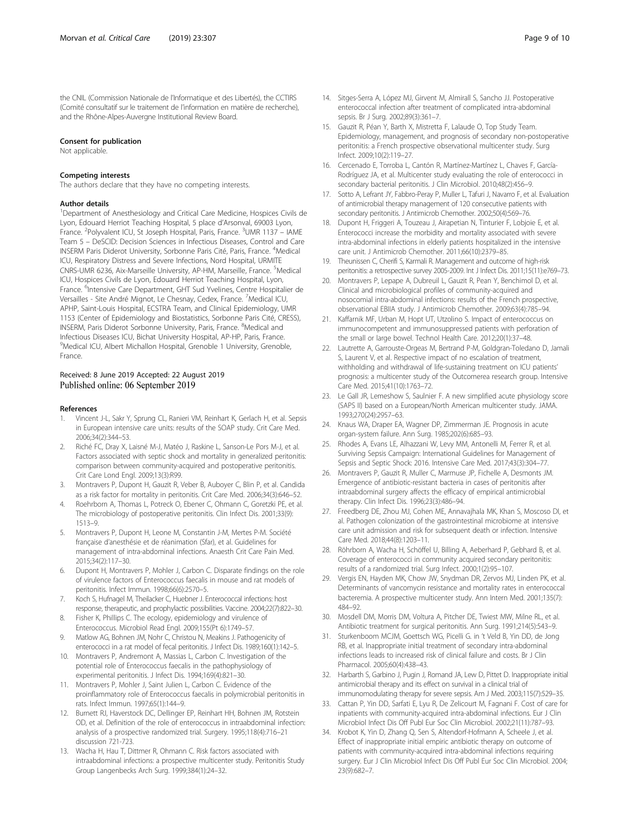<span id="page-8-0"></span>the CNIL (Commission Nationale de l'Informatique et des Libertés), the CCTIRS (Comité consultatif sur le traitement de l'information en matière de recherche), and the Rhône-Alpes-Auvergne Institutional Review Board.

#### Consent for publication

Not applicable.

#### Competing interests

The authors declare that they have no competing interests.

#### Author details

<sup>1</sup>Department of Anesthesiology and Critical Care Medicine, Hospices Civils de Lyon, Edouard Herriot Teaching Hospital, 5 place d'Arsonval, 69003 Lyon, France. <sup>2</sup>Polyvalent ICU, St Joseph Hospital, Paris, France. <sup>3</sup>UMR 1137 - IAME Team 5 – DeSCID: Decision Sciences in Infectious Diseases, Control and Care INSERM Paris Diderot University, Sorbonne Paris Cité, Paris, France. <sup>4</sup>Medical ICU, Respiratory Distress and Severe Infections, Nord Hospital, URMITE CNRS-UMR 6236, Aix-Marseille University, AP-HM, Marseille, France. <sup>5</sup>Medical ICU, Hospices Civils de Lyon, Edouard Herriot Teaching Hospital, Lyon, France. <sup>6</sup>Intensive Care Department, GHT Sud Yvelines, Centre Hospitalier de Versailles - Site André Mignot, Le Chesnay, Cedex, France. <sup>7</sup>Medical ICU, APHP, Saint-Louis Hospital, ECSTRA Team, and Clinical Epidemiology, UMR 1153 (Center of Epidemiology and Biostatistics, Sorbonne Paris Cité, CRESS), INSERM, Paris Diderot Sorbonne University, Paris, France. <sup>8</sup>Medical and Infectious Diseases ICU, Bichat University Hospital, AP-HP, Paris, France. <sup>9</sup>Medical ICU, Albert Michallon Hospital, Grenoble 1 University, Grenoble, France.

## Received: 8 June 2019 Accepted: 22 August 2019<br>Published online: 06 September 2019

#### References

- 1. Vincent J-L, Sakr Y, Sprung CL, Ranieri VM, Reinhart K, Gerlach H, et al. Sepsis in European intensive care units: results of the SOAP study. Crit Care Med. 2006;34(2):344–53.
- 2. Riché FC, Dray X, Laisné M-J, Matéo J, Raskine L, Sanson-Le Pors M-J, et al. Factors associated with septic shock and mortality in generalized peritonitis: comparison between community-acquired and postoperative peritonitis. Crit Care Lond Engl. 2009;13(3):R99.
- 3. Montravers P, Dupont H, Gauzit R, Veber B, Auboyer C, Blin P, et al. Candida as a risk factor for mortality in peritonitis. Crit Care Med. 2006;34(3):646–52.
- 4. Roehrborn A, Thomas L, Potreck O, Ebener C, Ohmann C, Goretzki PE, et al. The microbiology of postoperative peritonitis. Clin Infect Dis. 2001;33(9): 1513–9.
- 5. Montravers P, Dupont H, Leone M, Constantin J-M, Mertes P-M. Société française d'anesthésie et de réanimation (Sfar), et al. Guidelines for management of intra-abdominal infections. Anaesth Crit Care Pain Med. 2015;34(2):117–30.
- 6. Dupont H, Montravers P, Mohler J, Carbon C. Disparate findings on the role of virulence factors of Enterococcus faecalis in mouse and rat models of peritonitis. Infect Immun. 1998;66(6):2570–5.
- 7. Koch S, Hufnagel M, Theilacker C, Huebner J. Enterococcal infections: host response, therapeutic, and prophylactic possibilities. Vaccine. 2004;22(7):822–30.
- 8. Fisher K, Phillips C. The ecology, epidemiology and virulence of Enterococcus. Microbiol Read Engl. 2009;155(Pt 6):1749–57.
- 9. Matlow AG, Bohnen JM, Nohr C, Christou N, Meakins J. Pathogenicity of enterococci in a rat model of fecal peritonitis. J Infect Dis. 1989;160(1):142–5.
- 10. Montravers P, Andremont A, Massias L, Carbon C. Investigation of the potential role of Enterococcus faecalis in the pathophysiology of experimental peritonitis. J Infect Dis. 1994;169(4):821–30.
- 11. Montravers P, Mohler J, Saint Julien L, Carbon C. Evidence of the proinflammatory role of Enterococcus faecalis in polymicrobial peritonitis in rats. Infect Immun. 1997;65(1):144–9.
- 12. Burnett RJ, Haverstock DC, Dellinger EP, Reinhart HH, Bohnen JM, Rotstein OD, et al. Definition of the role of enterococcus in intraabdominal infection: analysis of a prospective randomized trial. Surgery. 1995;118(4):716–21 discussion 721-723.
- 13. Wacha H, Hau T, Dittmer R, Ohmann C. Risk factors associated with intraabdominal infections: a prospective multicenter study. Peritonitis Study Group Langenbecks Arch Surg. 1999;384(1):24–32.
- 14. Sitges-Serra A, López MJ, Girvent M, Almirall S, Sancho JJ. Postoperative enterococcal infection after treatment of complicated intra-abdominal sepsis. Br J Surg. 2002;89(3):361–7.
- 15. Gauzit R, Péan Y, Barth X, Mistretta F, Lalaude O, Top Study Team. Epidemiology, management, and prognosis of secondary non-postoperative peritonitis: a French prospective observational multicenter study. Surg Infect. 2009;10(2):119–27.
- 16. Cercenado E, Torroba L, Cantón R, Martínez-Martínez L, Chaves F, García-Rodríguez JA, et al. Multicenter study evaluating the role of enterococci in secondary bacterial peritonitis. J Clin Microbiol. 2010;48(2):456–9.
- 17. Sotto A, Lefrant JY, Fabbro-Peray P, Muller L, Tafuri J, Navarro F, et al. Evaluation of antimicrobial therapy management of 120 consecutive patients with secondary peritonitis. J Antimicrob Chemother. 2002;50(4):569-76.
- 18. Dupont H, Friggeri A, Touzeau J, Airapetian N, Tinturier F, Lobjoie E, et al. Enterococci increase the morbidity and mortality associated with severe intra-abdominal infections in elderly patients hospitalized in the intensive care unit. J Antimicrob Chemother. 2011;66(10):2379–85.
- 19. Theunissen C, Cherifi S, Karmali R. Management and outcome of high-risk peritonitis: a retrospective survey 2005-2009. Int J Infect Dis. 2011;15(11):e769–73.
- 20. Montravers P, Lepape A, Dubreuil L, Gauzit R, Pean Y, Benchimol D, et al. Clinical and microbiological profiles of community-acquired and nosocomial intra-abdominal infections: results of the French prospective, observational EBIIA study. J Antimicrob Chemother. 2009;63(4):785–94.
- 21. Kaffarnik MF, Urban M, Hopt UT, Utzolino S. Impact of enterococcus on immunocompetent and immunosuppressed patients with perforation of the small or large bowel. Technol Health Care. 2012;20(1):37–48.
- 22. Lautrette A, Garrouste-Orgeas M, Bertrand P-M, Goldgran-Toledano D, Jamali S, Laurent V, et al. Respective impact of no escalation of treatment, withholding and withdrawal of life-sustaining treatment on ICU patients' prognosis: a multicenter study of the Outcomerea research group. Intensive Care Med. 2015;41(10):1763–72.
- 23. Le Gall JR, Lemeshow S, Saulnier F. A new simplified acute physiology score (SAPS II) based on a European/North American multicenter study. JAMA. 1993;270(24):2957–63.
- 24. Knaus WA, Draper EA, Wagner DP, Zimmerman JE. Prognosis in acute organ-system failure. Ann Surg. 1985;202(6):685–93.
- 25. Rhodes A, Evans LE, Alhazzani W, Levy MM, Antonelli M, Ferrer R, et al. Surviving Sepsis Campaign: International Guidelines for Management of Sepsis and Septic Shock: 2016. Intensive Care Med. 2017;43(3):304–77.
- 26. Montravers P, Gauzit R, Muller C, Marmuse JP, Fichelle A, Desmonts JM. Emergence of antibiotic-resistant bacteria in cases of peritonitis after intraabdominal surgery affects the efficacy of empirical antimicrobial therapy. Clin Infect Dis. 1996;23(3):486–94.
- 27. Freedberg DE, Zhou MJ, Cohen ME, Annavajhala MK, Khan S, Moscoso DI, et al. Pathogen colonization of the gastrointestinal microbiome at intensive care unit admission and risk for subsequent death or infection. Intensive Care Med. 2018;44(8):1203–11.
- 28. Röhrborn A, Wacha H, Schöffel U, Billing A, Aeberhard P, Gebhard B, et al. Coverage of enterococci in community acquired secondary peritonitis: results of a randomized trial. Surg Infect. 2000;1(2):95–107.
- 29. Vergis EN, Hayden MK, Chow JW, Snydman DR, Zervos MJ, Linden PK, et al. Determinants of vancomycin resistance and mortality rates in enterococcal bacteremia. A prospective multicenter study. Ann Intern Med. 2001;135(7): 484–92.
- 30. Mosdell DM, Morris DM, Voltura A, Pitcher DE, Twiest MW, Milne RL, et al. Antibiotic treatment for surgical peritonitis. Ann Surg. 1991;214(5):543–9.
- 31. Sturkenboom MCJM, Goettsch WG, Picelli G. in 't Veld B, Yin DD, de Jong RB, et al. Inappropriate initial treatment of secondary intra-abdominal infections leads to increased risk of clinical failure and costs. Br J Clin Pharmacol. 2005;60(4):438–43.
- 32. Harbarth S, Garbino J, Pugin J, Romand JA, Lew D, Pittet D. Inappropriate initial antimicrobial therapy and its effect on survival in a clinical trial of immunomodulating therapy for severe sepsis. Am J Med. 2003;115(7):529–35.
- 33. Cattan P, Yin DD, Sarfati E, Lyu R, De Zelicourt M, Fagnani F. Cost of care for inpatients with community-acquired intra-abdominal infections. Eur J Clin Microbiol Infect Dis Off Publ Eur Soc Clin Microbiol. 2002;21(11):787–93.
- 34. Krobot K, Yin D, Zhang Q, Sen S, Altendorf-Hofmann A, Scheele J, et al. Effect of inappropriate initial empiric antibiotic therapy on outcome of patients with community-acquired intra-abdominal infections requiring surgery. Eur J Clin Microbiol Infect Dis Off Publ Eur Soc Clin Microbiol. 2004; 23(9):682–7.